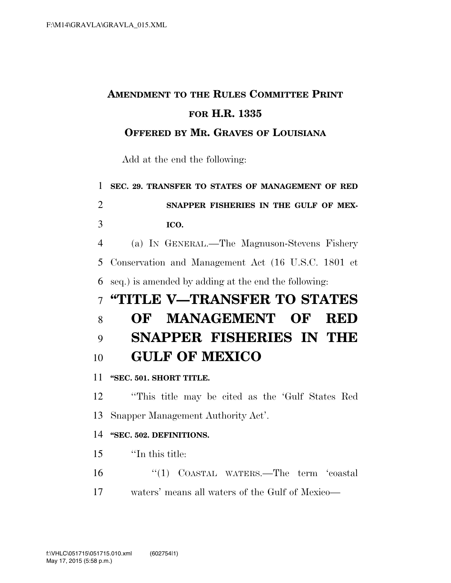# **AMENDMENT TO THE RULES COMMITTEE PRINT FOR H.R. 1335**

### **OFFERED BY MR. GRAVES OF LOUISIANA**

Add at the end the following:

**SEC. 29. TRANSFER TO STATES OF MANAGEMENT OF RED** 

 **SNAPPER FISHERIES IN THE GULF OF MEX-ICO.** 

 (a) IN GENERAL.—The Magnuson-Stevens Fishery Conservation and Management Act (16 U.S.C. 1801 et seq.) is amended by adding at the end the following:

# **''TITLE V—TRANSFER TO STATES OF MANAGEMENT OF RED SNAPPER FISHERIES IN THE GULF OF MEXICO**

**''SEC. 501. SHORT TITLE.** 

 ''This title may be cited as the 'Gulf States Red Snapper Management Authority Act'.

#### **''SEC. 502. DEFINITIONS.**

- ''In this title:
- ''(1) COASTAL WATERS.—The term 'coastal waters' means all waters of the Gulf of Mexico—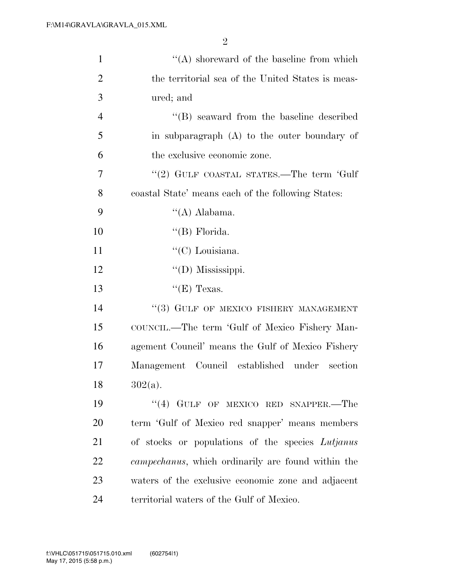| $\mathbf{1}$   | $\lq\lq$ shoreward of the baseline from which              |
|----------------|------------------------------------------------------------|
| $\overline{2}$ | the territorial sea of the United States is meas-          |
| 3              | ured; and                                                  |
| $\overline{4}$ | $\lq\lq$ seaward from the baseline described               |
| 5              | in subparagraph (A) to the outer boundary of               |
| 6              | the exclusive economic zone.                               |
| 7              | "(2) GULF COASTAL STATES.—The term 'Gulf                   |
| 8              | coastal State' means each of the following States:         |
| 9              | $\lq\lq$ (A) Alabama.                                      |
| 10             | $\lq\lq(B)$ Florida.                                       |
| 11             | " $(C)$ Louisiana.                                         |
| 12             | $\lq\lq$ (D) Mississippi.                                  |
| 13             | " $(E)$ Texas.                                             |
| 14             | "(3) GULF OF MEXICO FISHERY MANAGEMENT                     |
| 15             | COUNCIL.—The term 'Gulf of Mexico Fishery Man-             |
| 16             | agement Council' means the Gulf of Mexico Fishery          |
| 17             | Management Council established under<br>section            |
| 18             | $302(a)$ .                                                 |
| 19             | "(4) GULF OF MEXICO RED SNAPPER.—The                       |
| 20             | term 'Gulf of Mexico red snapper' means members            |
| 21             | of stocks or populations of the species Lutjanus           |
| 22             | <i>campechanus</i> , which ordinarily are found within the |
| 23             | waters of the exclusive economic zone and adjacent         |
| 24             | territorial waters of the Gulf of Mexico.                  |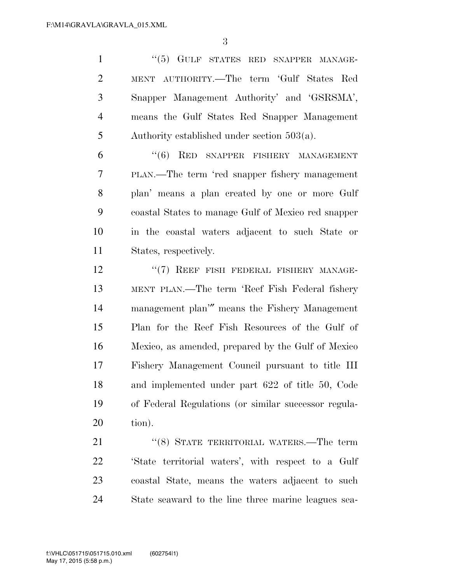1 ''(5) GULF STATES RED SNAPPER MANAGE- MENT AUTHORITY.—The term 'Gulf States Red Snapper Management Authority' and 'GSRSMA', means the Gulf States Red Snapper Management Authority established under section 503(a).

 ''(6) RED SNAPPER FISHERY MANAGEMENT PLAN.—The term 'red snapper fishery management plan' means a plan created by one or more Gulf coastal States to manage Gulf of Mexico red snapper in the coastal waters adjacent to such State or States, respectively.

12 "(7) REEF FISH FEDERAL FISHERY MANAGE- MENT PLAN.—The term 'Reef Fish Federal fishery management plan'″ means the Fishery Management Plan for the Reef Fish Resources of the Gulf of Mexico, as amended, prepared by the Gulf of Mexico Fishery Management Council pursuant to title III and implemented under part 622 of title 50, Code of Federal Regulations (or similar successor regula-tion).

21 "(8) STATE TERRITORIAL WATERS.—The term 'State territorial waters', with respect to a Gulf coastal State, means the waters adjacent to such State seaward to the line three marine leagues sea-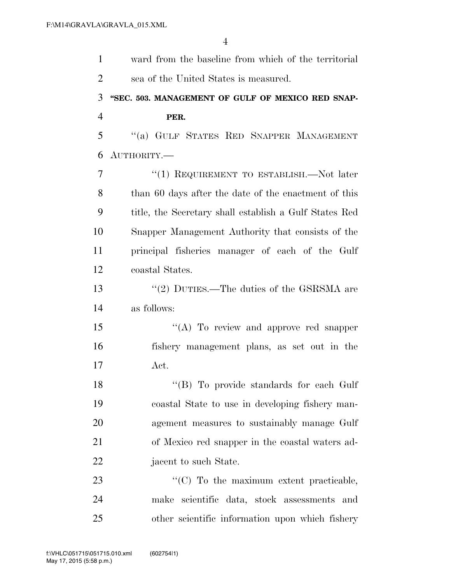| $\mathbf{1}$   | ward from the baseline from which of the territorial   |
|----------------|--------------------------------------------------------|
| $\overline{2}$ | sea of the United States is measured.                  |
| 3              | "SEC. 503. MANAGEMENT OF GULF OF MEXICO RED SNAP-      |
| $\overline{4}$ | PER.                                                   |
| 5              | "(a) GULF STATES RED SNAPPER MANAGEMENT                |
| 6              | AUTHORITY.-                                            |
| 7              | "(1) REQUIREMENT TO ESTABLISH.—Not later               |
| 8              | than 60 days after the date of the enactment of this   |
| 9              | title, the Secretary shall establish a Gulf States Red |
| 10             | Snapper Management Authority that consists of the      |
| 11             | principal fisheries manager of each of the Gulf        |
| 12             | coastal States.                                        |
| 13             | "(2) DUTIES.—The duties of the GSRSMA are              |
| 14             | as follows:                                            |
| 15             | "(A) To review and approve red snapper                 |
| 16             | fishery management plans, as set out in the            |
| 17             | $\operatorname{Act.}$                                  |
| 18             | "(B) To provide standards for each Gulf                |
| 19             | coastal State to use in developing fishery man-        |
| 20             | agement measures to sustainably manage Gulf            |
| 21             | of Mexico red snapper in the coastal waters ad-        |
| 22             | jacent to such State.                                  |
| 23             | "(C) To the maximum extent practicable,                |
| 24             | make scientific data, stock assessments and            |
| 25             | other scientific information upon which fishery        |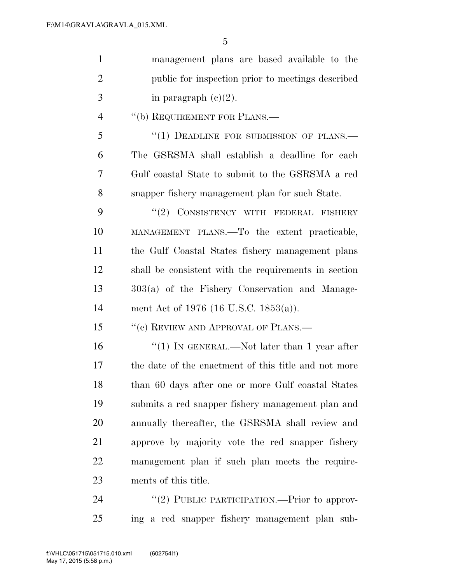| $\mathbf{1}$   | management plans are based available to the          |
|----------------|------------------------------------------------------|
| $\overline{2}$ | public for inspection prior to meetings described    |
| 3              | in paragraph $(c)(2)$ .                              |
| $\overline{4}$ | "(b) REQUIREMENT FOR PLANS.—                         |
| 5              | "(1) DEADLINE FOR SUBMISSION OF PLANS.—              |
| 6              | The GSRSMA shall establish a deadline for each       |
| 7              | Gulf coastal State to submit to the GSRSMA a red     |
| 8              | snapper fishery management plan for such State.      |
| 9              | "(2) CONSISTENCY WITH FEDERAL FISHERY                |
| 10             | MANAGEMENT PLANS.—To the extent practicable,         |
| 11             | the Gulf Coastal States fishery management plans     |
| 12             | shall be consistent with the requirements in section |
| 13             | 303(a) of the Fishery Conservation and Manage-       |
| 14             | ment Act of 1976 (16 U.S.C. 1853(a)).                |
| 15             | "(c) REVIEW AND APPROVAL OF PLANS.—                  |
| 16             | "(1) IN GENERAL.—Not later than 1 year after         |
| 17             | the date of the enactment of this title and not more |
| 18             | than 60 days after one or more Gulf coastal States   |
| 19             | submits a red snapper fishery management plan and    |
| 20             | annually thereafter, the GSRSMA shall review and     |
| 21             | approve by majority vote the red snapper fishery     |
| 22             | management plan if such plan meets the require-      |
| 23             | ments of this title.                                 |
| 24             | "(2) PUBLIC PARTICIPATION.—Prior to approv-          |

ing a red snapper fishery management plan sub-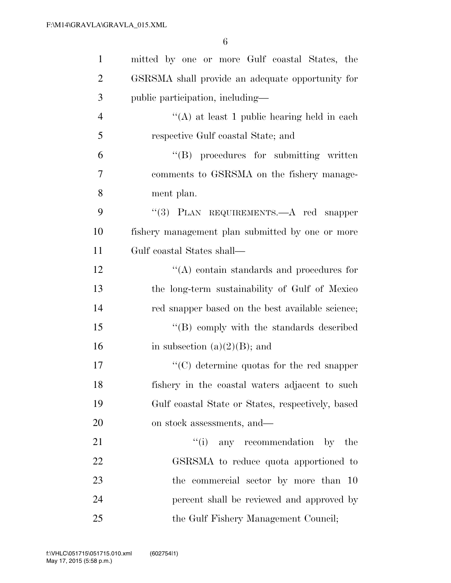| $\mathbf{1}$   | mitted by one or more Gulf coastal States, the    |
|----------------|---------------------------------------------------|
| $\overline{2}$ | GSRSMA shall provide an adequate opportunity for  |
| 3              | public participation, including-                  |
| $\overline{4}$ | "(A) at least 1 public hearing held in each       |
| 5              | respective Gulf coastal State; and                |
| 6              | $\lq\lq (B)$ procedures for submitting written    |
| $\overline{7}$ | comments to GSRSMA on the fishery manage-         |
| 8              | ment plan.                                        |
| 9              | "(3) PLAN REQUIREMENTS.—A red snapper             |
| 10             | fishery management plan submitted by one or more  |
| 11             | Gulf coastal States shall—                        |
| 12             | $\lq\lq$ contain standards and procedures for     |
| 13             | the long-term sustainability of Gulf of Mexico    |
| 14             | red snapper based on the best available science;  |
| 15             | $\lq\lq (B)$ comply with the standards described  |
| 16             | in subsection $(a)(2)(B)$ ; and                   |
| 17             | $\lq\lq$ determine quotas for the red snapper     |
| 18             | fishery in the coastal waters adjacent to such    |
| 19             | Gulf coastal State or States, respectively, based |
| 20             | on stock assessments, and—                        |
| 21             | "(i) any recommendation by the                    |
| 22             | GSRSMA to reduce quota apportioned to             |
| 23             | the commercial sector by more than 10             |
| 24             | percent shall be reviewed and approved by         |
| 25             | the Gulf Fishery Management Council;              |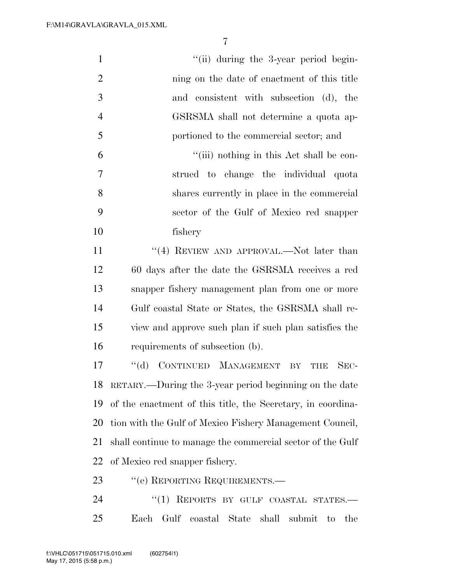| "(ii) during the 3-year period begin-                                           |
|---------------------------------------------------------------------------------|
| ning on the date of enactment of this title                                     |
| and consistent with subsection (d), the                                         |
| GSRSMA shall not determine a quota ap-                                          |
| portioned to the commercial sector; and                                         |
| "(iii) nothing in this Act shall be con-                                        |
| strued to change the individual quota                                           |
| shares currently in place in the commercial                                     |
| sector of the Gulf of Mexico red snapper                                        |
| fishery                                                                         |
| "(4) REVIEW AND APPROVAL.—Not later than                                        |
| 60 days after the date the GSRSMA receives a red                                |
| snapper fishery management plan from one or more                                |
| Gulf coastal State or States, the GSRSMA shall re-                              |
| view and approve such plan if such plan satisfies the                           |
| requirements of subsection (b).                                                 |
| CONTINUED MANAGEMENT<br>$\lq\lq (d)$<br>$SEC-$<br>$\overline{\text{BY}}$<br>THE |
| RETARY.—During the 3-year period beginning on the date                          |
| of the enactment of this title, the Secretary, in coordina-                     |
|                                                                                 |
| tion with the Gulf of Mexico Fishery Management Council,                        |
| shall continue to manage the commercial sector of the Gulf                      |
| of Mexico red snapper fishery.                                                  |
| "(e) REPORTING REQUIREMENTS.—                                                   |
|                                                                                 |

Each Gulf coastal State shall submit to the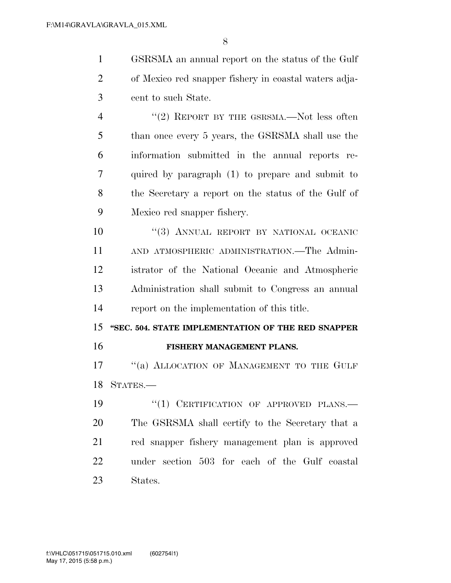GSRSMA an annual report on the status of the Gulf of Mexico red snapper fishery in coastal waters adja-cent to such State.

4 "(2) REPORT BY THE GSRSMA.—Not less often than once every 5 years, the GSRSMA shall use the information submitted in the annual reports re- quired by paragraph (1) to prepare and submit to the Secretary a report on the status of the Gulf of Mexico red snapper fishery.

 $(3)$  ANNUAL REPORT BY NATIONAL OCEANIC AND ATMOSPHERIC ADMINISTRATION.—The Admin- istrator of the National Oceanic and Atmospheric Administration shall submit to Congress an annual report on the implementation of this title.

 **''SEC. 504. STATE IMPLEMENTATION OF THE RED SNAPPER FISHERY MANAGEMENT PLANS.** 

17 "(a) ALLOCATION OF MANAGEMENT TO THE GULF STATES.—

19 "(1) CERTIFICATION OF APPROVED PLANS.— The GSRSMA shall certify to the Secretary that a red snapper fishery management plan is approved under section 503 for each of the Gulf coastal States.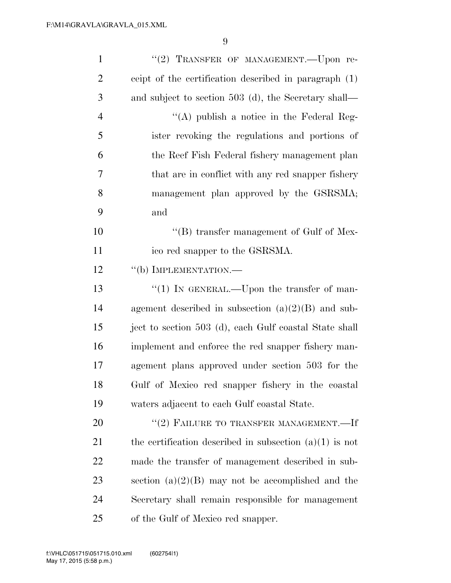| $\mathbf{1}$   | "(2) TRANSFER OF MANAGEMENT. - Upon re-                   |
|----------------|-----------------------------------------------------------|
| $\overline{2}$ | ceipt of the certification described in paragraph (1)     |
| 3              | and subject to section 503 (d), the Secretary shall—      |
| $\overline{4}$ | "(A) publish a notice in the Federal Reg-                 |
| 5              | ister revoking the regulations and portions of            |
| 6              | the Reef Fish Federal fishery management plan             |
| 7              | that are in conflict with any red snapper fishery         |
| 8              | management plan approved by the GSRSMA;                   |
| 9              | and                                                       |
| 10             | "(B) transfer management of Gulf of Mex-                  |
| 11             | ico red snapper to the GSRSMA.                            |
| 12             | "(b) IMPLEMENTATION.—                                     |
| 13             | "(1) IN GENERAL.—Upon the transfer of man-                |
| 14             | agement described in subsection $(a)(2)(B)$ and sub-      |
| 15             | ject to section 503 (d), each Gulf coastal State shall    |
| 16             | implement and enforce the red snapper fishery man-        |
| 17             | agement plans approved under section 503 for the          |
| 18             | Gulf of Mexico red snapper fishery in the coastal         |
| 19             | waters adjacent to each Gulf coastal State.               |
| 20             | "(2) FAILURE TO TRANSFER MANAGEMENT.—If                   |
| 21             | the certification described in subsection $(a)(1)$ is not |
| 22             | made the transfer of management described in sub-         |
| 23             | section $(a)(2)(B)$ may not be accomplished and the       |
| 24             | Secretary shall remain responsible for management         |
| 25             | of the Gulf of Mexico red snapper.                        |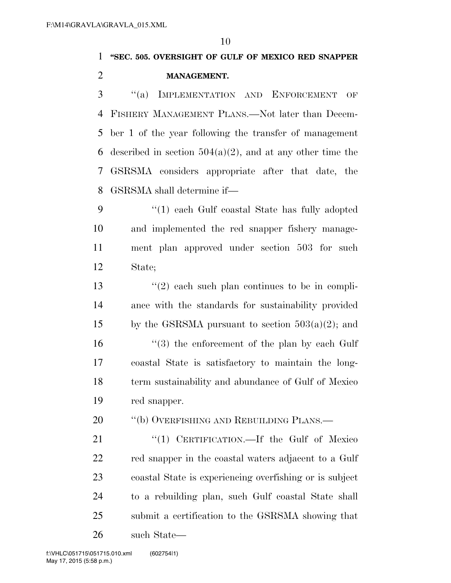**''SEC. 505. OVERSIGHT OF GULF OF MEXICO RED SNAPPER MANAGEMENT.** 

 ''(a) IMPLEMENTATION AND ENFORCEMENT OF FISHERY MANAGEMENT PLANS.—Not later than Decem- ber 1 of the year following the transfer of management 6 described in section  $504(a)(2)$ , and at any other time the GSRSMA considers appropriate after that date, the GSRSMA shall determine if—

 ''(1) each Gulf coastal State has fully adopted and implemented the red snapper fishery manage- ment plan approved under section 503 for such State;

13 ''(2) each such plan continues to be in compli- ance with the standards for sustainability provided 15 by the GSRSMA pursuant to section  $503(a)(2)$ ; and 16 ''(3) the enforcement of the plan by each Gulf coastal State is satisfactory to maintain the long- term sustainability and abundance of Gulf of Mexico red snapper.

20 "(b) OVERFISHING AND REBUILDING PLANS.—

21 "(1) CERTIFICATION.—If the Gulf of Mexico red snapper in the coastal waters adjacent to a Gulf coastal State is experiencing overfishing or is subject to a rebuilding plan, such Gulf coastal State shall submit a certification to the GSRSMA showing that such State—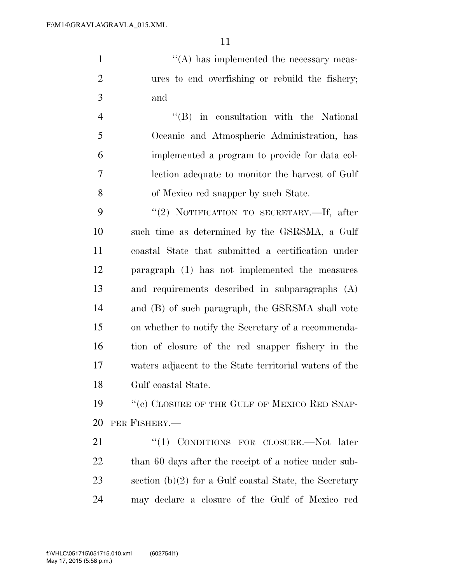1  $\langle (A)$  has implemented the necessary meas- ures to end overfishing or rebuild the fishery; and

 ''(B) in consultation with the National Oceanic and Atmospheric Administration, has implemented a program to provide for data col- lection adequate to monitor the harvest of Gulf of Mexico red snapper by such State.

9 "(2) NOTIFICATION TO SECRETARY.—If, after such time as determined by the GSRSMA, a Gulf coastal State that submitted a certification under paragraph (1) has not implemented the measures and requirements described in subparagraphs (A) and (B) of such paragraph, the GSRSMA shall vote on whether to notify the Secretary of a recommenda- tion of closure of the red snapper fishery in the waters adjacent to the State territorial waters of the Gulf coastal State.

19 "(c) CLOSURE OF THE GULF OF MEXICO RED SNAP-PER FISHERY.—

21 "(1) CONDITIONS FOR CLOSURE.—Not later 22 than 60 days after the receipt of a notice under sub-23 section  $(b)(2)$  for a Gulf coastal State, the Secretary may declare a closure of the Gulf of Mexico red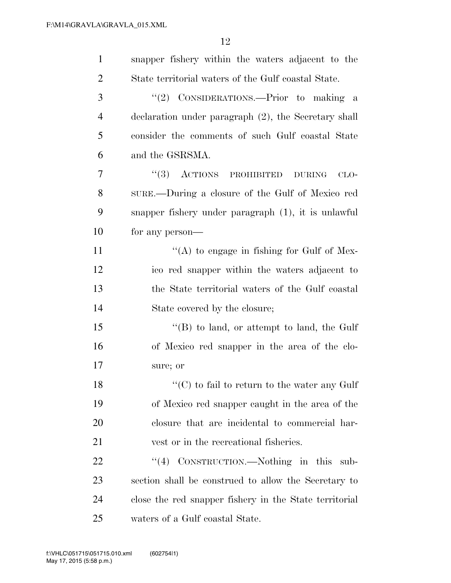| $\mathbf{1}$   | snapper fishery within the waters adjacent to the        |
|----------------|----------------------------------------------------------|
| $\overline{2}$ | State territorial waters of the Gulf coastal State.      |
| 3              | "(2) CONSIDERATIONS.—Prior to making a                   |
| $\overline{4}$ | declaration under paragraph (2), the Secretary shall     |
| 5              | consider the comments of such Gulf coastal State         |
| 6              | and the GSRSMA.                                          |
| 7              | $``(3)$ ACTIONS<br>PROHIBITED<br><b>DURING</b><br>$CLO-$ |
| 8              | SURE.—During a closure of the Gulf of Mexico red         |
| 9              | snapper fishery under paragraph (1), it is unlawful      |
| 10             | for any person—                                          |
| 11             | "(A) to engage in fishing for Gulf of Mex-               |
| 12             | ico red snapper within the waters adjacent to            |
| 13             | the State territorial waters of the Gulf coastal         |
| 14             | State covered by the closure;                            |
| 15             | $\lq\lq$ to land, or attempt to land, the Gulf           |
| 16             | of Mexico red snapper in the area of the clo-            |
| 17             | sure; or                                                 |
| 18             | $\lq\lq$ (C) to fail to return to the water any Gulf     |
| 19             | of Mexico red snapper caught in the area of the          |
| 20             | closure that are incidental to commercial har-           |
| 21             | vest or in the recreational fisheries.                   |
| 22             | "(4) CONSTRUCTION.—Nothing in this sub-                  |
| 23             | section shall be construed to allow the Secretary to     |
| 24             | close the red snapper fishery in the State territorial   |
| 25             | waters of a Gulf coastal State.                          |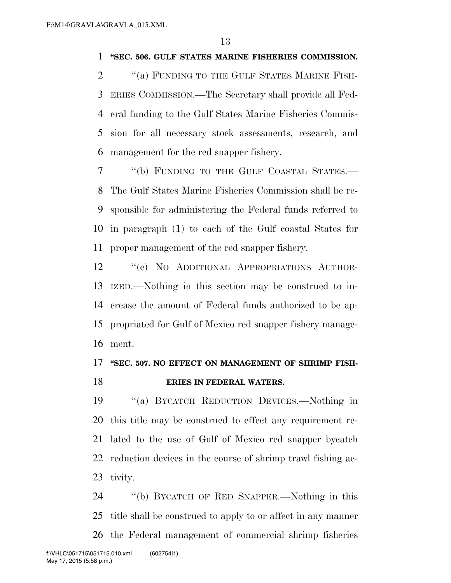#### **''SEC. 506. GULF STATES MARINE FISHERIES COMMISSION.**

2 "(a) FUNDING TO THE GULF STATES MARINE FISH- ERIES COMMISSION.—The Secretary shall provide all Fed- eral funding to the Gulf States Marine Fisheries Commis- sion for all necessary stock assessments, research, and management for the red snapper fishery.

 ''(b) FUNDING TO THE GULF COASTAL STATES.— The Gulf States Marine Fisheries Commission shall be re- sponsible for administering the Federal funds referred to in paragraph (1) to each of the Gulf coastal States for proper management of the red snapper fishery.

 ''(c) NO ADDITIONAL APPROPRIATIONS AUTHOR- IZED.—Nothing in this section may be construed to in- crease the amount of Federal funds authorized to be ap- propriated for Gulf of Mexico red snapper fishery manage-ment.

## **''SEC. 507. NO EFFECT ON MANAGEMENT OF SHRIMP FISH-ERIES IN FEDERAL WATERS.**

 ''(a) BYCATCH REDUCTION DEVICES.—Nothing in this title may be construed to effect any requirement re- lated to the use of Gulf of Mexico red snapper bycatch reduction devices in the course of shrimp trawl fishing ac-tivity.

 ''(b) BYCATCH OF RED SNAPPER.—Nothing in this title shall be construed to apply to or affect in any manner the Federal management of commercial shrimp fisheries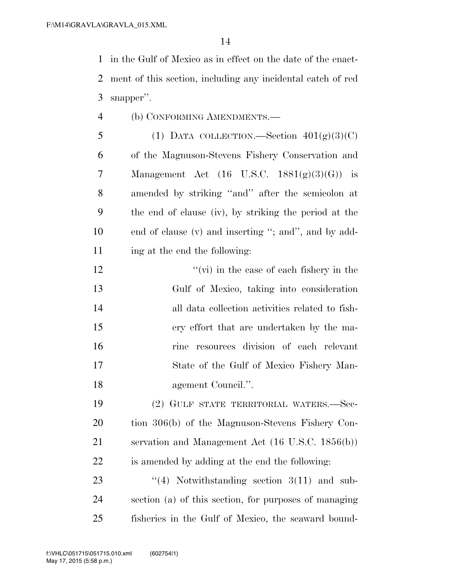in the Gulf of Mexico as in effect on the date of the enact- ment of this section, including any incidental catch of red snapper''.

- (b) CONFORMING AMENDMENTS.—
- 5 (1) DATA COLLECTION.—Section  $401(g)(3)(C)$  of the Magnuson-Stevens Fishery Conservation and Management Act (16 U.S.C. 1881(g)(3)(G)) is amended by striking ''and'' after the semicolon at the end of clause (iv), by striking the period at the end of clause (v) and inserting ''; and'', and by add-ing at the end the following:
- 12 ''(vi) in the case of each fishery in the Gulf of Mexico, taking into consideration all data collection activities related to fish- ery effort that are undertaken by the ma- rine resources division of each relevant State of the Gulf of Mexico Fishery Man-agement Council.''.

 (2) GULF STATE TERRITORIAL WATERS.—Sec- tion 306(b) of the Magnuson-Stevens Fishery Con- servation and Management Act (16 U.S.C. 1856(b)) is amended by adding at the end the following:

23  $\frac{4}{4}$  Notwithstanding section 3(11) and sub- section (a) of this section, for purposes of managing fisheries in the Gulf of Mexico, the seaward bound-